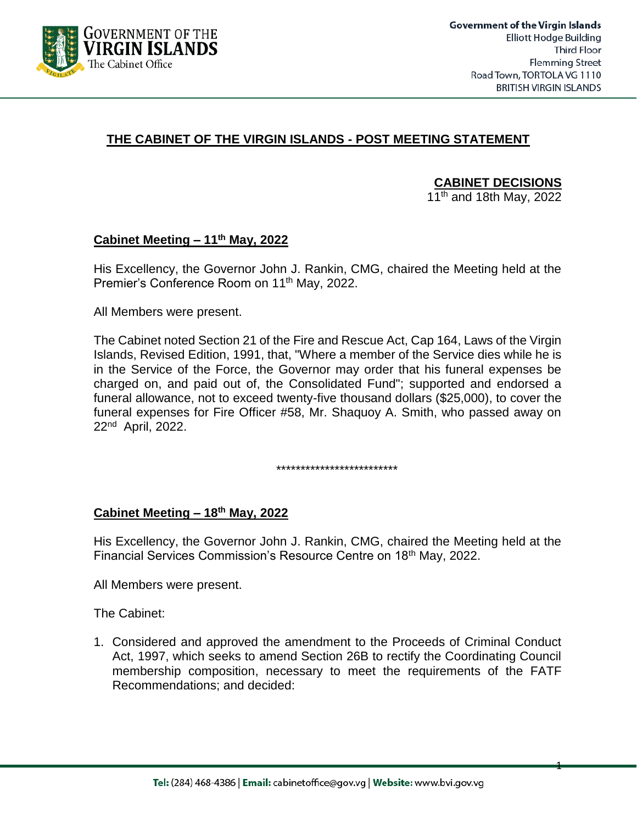

1

## **THE CABINET OF THE VIRGIN ISLANDS - POST MEETING STATEMENT**

**CABINET DECISIONS**

11<sup>th</sup> and 18th May, 2022

### **Cabinet Meeting – 11th May, 2022**

His Excellency, the Governor John J. Rankin, CMG, chaired the Meeting held at the Premier's Conference Room on 11<sup>th</sup> May, 2022.

All Members were present.

The Cabinet noted Section 21 of the Fire and Rescue Act, Cap 164, Laws of the Virgin Islands, Revised Edition, 1991, that, "Where a member of the Service dies while he is in the Service of the Force, the Governor may order that his funeral expenses be charged on, and paid out of, the Consolidated Fund"; supported and endorsed a funeral allowance, not to exceed twenty-five thousand dollars (\$25,000), to cover the funeral expenses for Fire Officer #58, Mr. Shaquoy A. Smith, who passed away on 22<sup>nd</sup> April, 2022.

\*\*\*\*\*\*\*\*\*\*\*\*\*\*\*\*\*\*\*\*\*\*\*\*\*

#### **Cabinet Meeting – 18 th May, 2022**

His Excellency, the Governor John J. Rankin, CMG, chaired the Meeting held at the Financial Services Commission's Resource Centre on 18th May, 2022.

All Members were present.

The Cabinet:

1. Considered and approved the amendment to the Proceeds of Criminal Conduct Act, 1997, which seeks to amend Section 26B to rectify the Coordinating Council membership composition, necessary to meet the requirements of the FATF Recommendations; and decided: